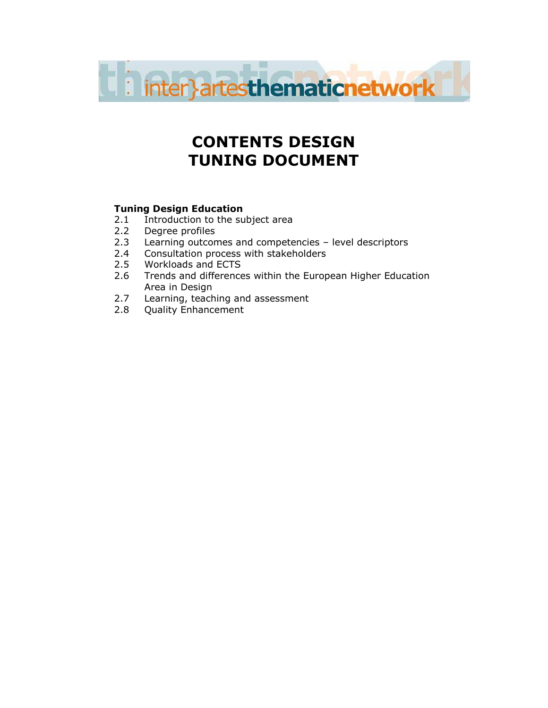

# CONTENTS DESIGN TUNING DOCUMENT

# Tuning Design Education

- 2.1 Introduction to the subject area
- 2.2 Degree profiles
- 2.3 Learning outcomes and competencies level descriptors
- 2.4 Consultation process with stakeholders
- 2.5 Workloads and ECTS
- 2.6 Trends and differences within the European Higher Education Area in Design
- 2.7 Learning, teaching and assessment
- 2.8 Quality Enhancement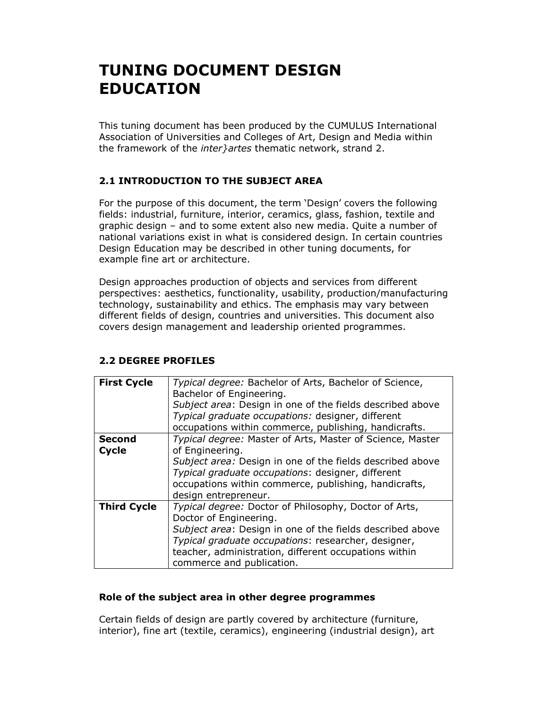# TUNING DOCUMENT DESIGN EDUCATION

This tuning document has been produced by the CUMULUS International Association of Universities and Colleges of Art, Design and Media within the framework of the *inter}artes* thematic network, strand 2.

# 2.1 INTRODUCTION TO THE SUBJECT AREA

For the purpose of this document, the term 'Design' covers the following fields: industrial, furniture, interior, ceramics, glass, fashion, textile and graphic design – and to some extent also new media. Quite a number of national variations exist in what is considered design. In certain countries Design Education may be described in other tuning documents, for example fine art or architecture.

Design approaches production of objects and services from different perspectives: aesthetics, functionality, usability, production/manufacturing technology, sustainability and ethics. The emphasis may vary between different fields of design, countries and universities. This document also covers design management and leadership oriented programmes.

| <b>First Cycle</b> | Typical degree: Bachelor of Arts, Bachelor of Science,<br>Bachelor of Engineering.<br>Subject area: Design in one of the fields described above<br>Typical graduate occupations: designer, different<br>occupations within commerce, publishing, handicrafts.                             |
|--------------------|-------------------------------------------------------------------------------------------------------------------------------------------------------------------------------------------------------------------------------------------------------------------------------------------|
| <b>Second</b>      | Typical degree: Master of Arts, Master of Science, Master                                                                                                                                                                                                                                 |
| <b>Cycle</b>       | of Engineering.<br>Subject area: Design in one of the fields described above<br>Typical graduate occupations: designer, different<br>occupations within commerce, publishing, handicrafts,<br>design entrepreneur.                                                                        |
| <b>Third Cycle</b> | Typical degree: Doctor of Philosophy, Doctor of Arts,<br>Doctor of Engineering.<br>Subject area: Design in one of the fields described above<br>Typical graduate occupations: researcher, designer,<br>teacher, administration, different occupations within<br>commerce and publication. |

# 2.2 DEGREE PROFILES

# Role of the subject area in other degree programmes

Certain fields of design are partly covered by architecture (furniture, interior), fine art (textile, ceramics), engineering (industrial design), art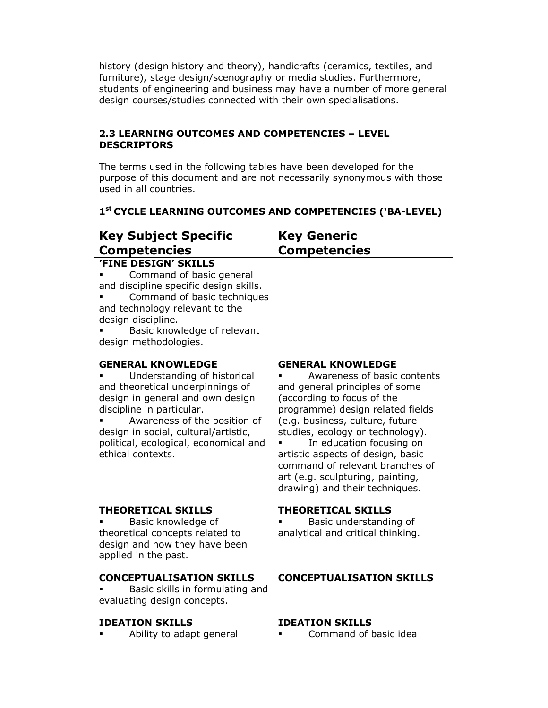history (design history and theory), handicrafts (ceramics, textiles, and furniture), stage design/scenography or media studies. Furthermore, students of engineering and business may have a number of more general design courses/studies connected with their own specialisations.

# 2.3 LEARNING OUTCOMES AND COMPETENCIES – LEVEL **DESCRIPTORS**

The terms used in the following tables have been developed for the purpose of this document and are not necessarily synonymous with those used in all countries.

# 1 st CYCLE LEARNING OUTCOMES AND COMPETENCIES ('BA-LEVEL)

| <b>Key Subject Specific</b>                                                                                                                                                                                                                                                                        | <b>Key Generic</b>                                                                                                                                                                                                                                                                                                                                                                                           |
|----------------------------------------------------------------------------------------------------------------------------------------------------------------------------------------------------------------------------------------------------------------------------------------------------|--------------------------------------------------------------------------------------------------------------------------------------------------------------------------------------------------------------------------------------------------------------------------------------------------------------------------------------------------------------------------------------------------------------|
| <b>Competencies</b><br>'FINE DESIGN' SKILLS                                                                                                                                                                                                                                                        | <b>Competencies</b>                                                                                                                                                                                                                                                                                                                                                                                          |
| Command of basic general<br>and discipline specific design skills.<br>Command of basic techniques<br>and technology relevant to the<br>design discipline.<br>Basic knowledge of relevant<br>design methodologies.                                                                                  |                                                                                                                                                                                                                                                                                                                                                                                                              |
| <b>GENERAL KNOWLEDGE</b><br>Understanding of historical<br>and theoretical underpinnings of<br>design in general and own design<br>discipline in particular.<br>Awareness of the position of<br>design in social, cultural/artistic,<br>political, ecological, economical and<br>ethical contexts. | <b>GENERAL KNOWLEDGE</b><br>Awareness of basic contents<br>and general principles of some<br>(according to focus of the<br>programme) design related fields<br>(e.g. business, culture, future<br>studies, ecology or technology).<br>In education focusing on<br>artistic aspects of design, basic<br>command of relevant branches of<br>art (e.g. sculpturing, painting,<br>drawing) and their techniques. |
| <b>THEORETICAL SKILLS</b><br>Basic knowledge of<br>theoretical concepts related to<br>design and how they have been<br>applied in the past.                                                                                                                                                        | <b>THEORETICAL SKILLS</b><br>Basic understanding of<br>analytical and critical thinking.                                                                                                                                                                                                                                                                                                                     |
| <b>CONCEPTUALISATION SKILLS</b><br>Basic skills in formulating and<br>evaluating design concepts.                                                                                                                                                                                                  | <b>CONCEPTUALISATION SKILLS</b>                                                                                                                                                                                                                                                                                                                                                                              |
| <b>IDEATION SKILLS</b><br>Ability to adapt general                                                                                                                                                                                                                                                 | <b>IDEATION SKILLS</b><br>Command of basic idea                                                                                                                                                                                                                                                                                                                                                              |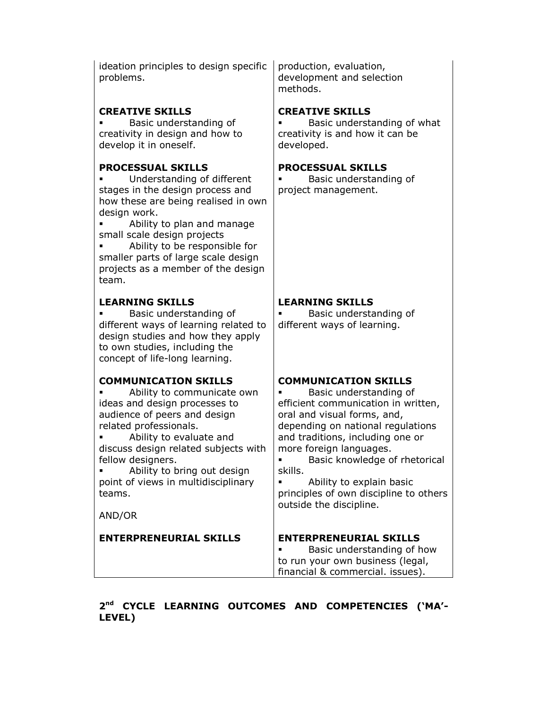ideation principles to design specific problems.

# CREATIVE SKILLS

 Basic understanding of creativity in design and how to develop it in oneself.

# PROCESSUAL SKILLS

 Understanding of different stages in the design process and how these are being realised in own design work.

**EXECUTE:** Ability to plan and manage small scale design projects

 Ability to be responsible for smaller parts of large scale design projects as a member of the design team.

#### LEARNING SKILLS

 Basic understanding of different ways of learning related to design studies and how they apply to own studies, including the concept of life-long learning.

# COMMUNICATION SKILLS

 Ability to communicate own ideas and design processes to audience of peers and design related professionals.

 Ability to evaluate and discuss design related subjects with fellow designers.

**Ability to bring out design** point of views in multidisciplinary teams.

AND/OR

production, evaluation, development and selection methods.

#### CREATIVE SKILLS

 Basic understanding of what creativity is and how it can be developed.

#### PROCESSUAL SKILLS

 Basic understanding of project management.

#### LEARNING SKILLS

 Basic understanding of different ways of learning.

# COMMUNICATION SKILLS

 Basic understanding of efficient communication in written, oral and visual forms, and, depending on national regulations and traditions, including one or more foreign languages.

**Basic knowledge of rhetorical** skills.

 Ability to explain basic principles of own discipline to others outside the discipline.

ENTERPRENEURIAL SKILLS ENTERPRENEURIAL SKILLS

 Basic understanding of how to run your own business (legal, financial & commercial. issues).

2<sup>nd</sup> CYCLE LEARNING OUTCOMES AND COMPETENCIES ('MA'-LEVEL)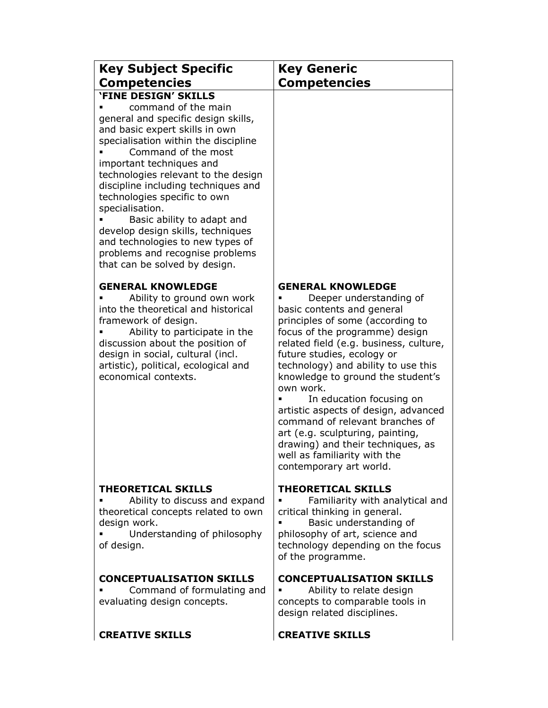| <b>Key Subject Specific</b>                                                                                                                                                                                                                                                                                                                                                                                                                                                                                                        | <b>Key Generic</b>                                                                                                                                                                                                                                                                                                                                                                                                                                                                                                                                                  |
|------------------------------------------------------------------------------------------------------------------------------------------------------------------------------------------------------------------------------------------------------------------------------------------------------------------------------------------------------------------------------------------------------------------------------------------------------------------------------------------------------------------------------------|---------------------------------------------------------------------------------------------------------------------------------------------------------------------------------------------------------------------------------------------------------------------------------------------------------------------------------------------------------------------------------------------------------------------------------------------------------------------------------------------------------------------------------------------------------------------|
| <b>Competencies</b>                                                                                                                                                                                                                                                                                                                                                                                                                                                                                                                | <b>Competencies</b>                                                                                                                                                                                                                                                                                                                                                                                                                                                                                                                                                 |
| <b>'FINE DESIGN' SKILLS</b><br>command of the main<br>general and specific design skills,<br>and basic expert skills in own<br>specialisation within the discipline<br>Command of the most<br>important techniques and<br>technologies relevant to the design<br>discipline including techniques and<br>technologies specific to own<br>specialisation.<br>Basic ability to adapt and<br>develop design skills, techniques<br>and technologies to new types of<br>problems and recognise problems<br>that can be solved by design. |                                                                                                                                                                                                                                                                                                                                                                                                                                                                                                                                                                     |
| <b>GENERAL KNOWLEDGE</b><br>Ability to ground own work<br>into the theoretical and historical<br>framework of design.<br>Ability to participate in the<br>discussion about the position of<br>design in social, cultural (incl.<br>artistic), political, ecological and<br>economical contexts.                                                                                                                                                                                                                                    | <b>GENERAL KNOWLEDGE</b><br>Deeper understanding of<br>basic contents and general<br>principles of some (according to<br>focus of the programme) design<br>related field (e.g. business, culture,<br>future studies, ecology or<br>technology) and ability to use this<br>knowledge to ground the student's<br>own work.<br>In education focusing on<br>artistic aspects of design, advanced<br>command of relevant branches of<br>art (e.g. sculpturing, painting,<br>drawing) and their techniques, as<br>well as familiarity with the<br>contemporary art world. |
| <b>THEORETICAL SKILLS</b><br>Ability to discuss and expand<br>theoretical concepts related to own<br>design work.<br>Understanding of philosophy<br>of design.                                                                                                                                                                                                                                                                                                                                                                     | <b>THEORETICAL SKILLS</b><br>Familiarity with analytical and<br>critical thinking in general.<br>Basic understanding of<br>philosophy of art, science and<br>technology depending on the focus<br>of the programme.                                                                                                                                                                                                                                                                                                                                                 |
| <b>CONCEPTUALISATION SKILLS</b><br>Command of formulating and<br>evaluating design concepts.                                                                                                                                                                                                                                                                                                                                                                                                                                       | <b>CONCEPTUALISATION SKILLS</b><br>Ability to relate design<br>concepts to comparable tools in<br>design related disciplines.                                                                                                                                                                                                                                                                                                                                                                                                                                       |
| <b>CREATIVE SKILLS</b>                                                                                                                                                                                                                                                                                                                                                                                                                                                                                                             | <b>CREATIVE SKILLS</b>                                                                                                                                                                                                                                                                                                                                                                                                                                                                                                                                              |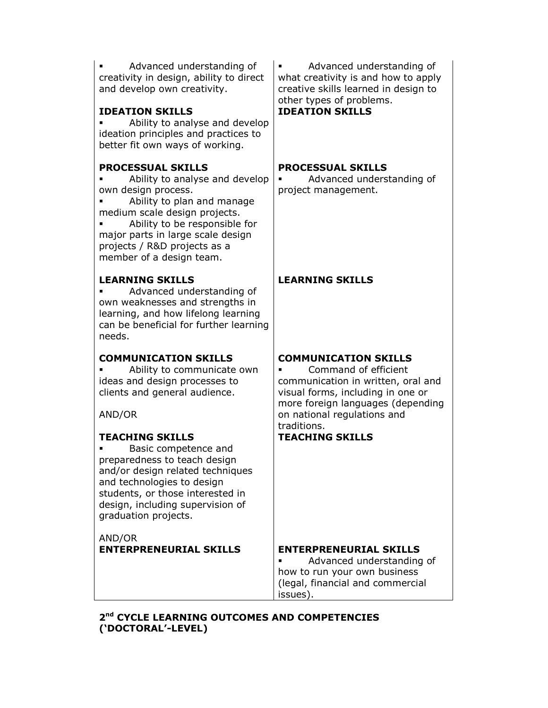Advanced understanding of creativity in design, ability to direct and develop own creativity.

# IDEATION SKILLS

 Ability to analyse and develop ideation principles and practices to better fit own ways of working.

# PROCESSUAL SKILLS

 Ability to analyse and develop own design process.

 Ability to plan and manage medium scale design projects.

 Ability to be responsible for major parts in large scale design projects / R&D projects as a member of a design team.

# LEARNING SKILLS

 Advanced understanding of own weaknesses and strengths in learning, and how lifelong learning can be beneficial for further learning needs.

# COMMUNICATION SKILLS

 Ability to communicate own ideas and design processes to clients and general audience.

AND/OR

# TEACHING SKILLS

 Basic competence and preparedness to teach design and/or design related techniques and technologies to design students, or those interested in design, including supervision of graduation projects.

AND/OR ENTERPRENEURIAL SKILLS ENTERPRENEURIAL SKILLS

 Advanced understanding of what creativity is and how to apply creative skills learned in design to other types of problems.

# IDEATION SKILLS

#### PROCESSUAL SKILLS

 Advanced understanding of project management.

# LEARNING SKILLS

# COMMUNICATION SKILLS

 Command of efficient communication in written, oral and visual forms, including in one or more foreign languages (depending on national regulations and traditions.

# TEACHING SKILLS

 Advanced understanding of how to run your own business (legal, financial and commercial issues).

2<sup>nd</sup> CYCLE LEARNING OUTCOMES AND COMPETENCIES ('DOCTORAL'-LEVEL)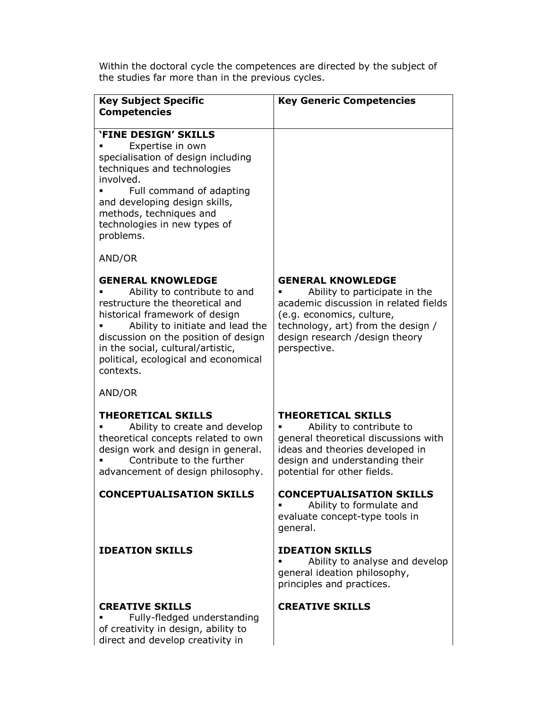| <b>Key Subject Specific</b>                                                                                                                                                                                                                                                                         | <b>Key Generic Competencies</b>                                                                                                                                                                                         |
|-----------------------------------------------------------------------------------------------------------------------------------------------------------------------------------------------------------------------------------------------------------------------------------------------------|-------------------------------------------------------------------------------------------------------------------------------------------------------------------------------------------------------------------------|
| <b>Competencies</b>                                                                                                                                                                                                                                                                                 |                                                                                                                                                                                                                         |
| <b>'FINE DESIGN' SKILLS</b><br>Expertise in own<br>specialisation of design including<br>techniques and technologies<br>involved.<br>Full command of adapting<br>and developing design skills,<br>methods, techniques and<br>technologies in new types of<br>problems.<br>AND/OR                    |                                                                                                                                                                                                                         |
| <b>GENERAL KNOWLEDGE</b><br>Ability to contribute to and<br>restructure the theoretical and<br>historical framework of design<br>Ability to initiate and lead the<br>discussion on the position of design<br>in the social, cultural/artistic,<br>political, ecological and economical<br>contexts. | <b>GENERAL KNOWLEDGE</b><br>Ability to participate in the<br>academic discussion in related fields<br>(e.g. economics, culture,<br>technology, art) from the design /<br>design research /design theory<br>perspective. |
| AND/OR                                                                                                                                                                                                                                                                                              |                                                                                                                                                                                                                         |
| <b>THEORETICAL SKILLS</b><br>Ability to create and develop<br>theoretical concepts related to own<br>design work and design in general.<br>Contribute to the further<br>advancement of design philosophy.                                                                                           | <b>THEORETICAL SKILLS</b><br>Ability to contribute to<br>general theoretical discussions with<br>ideas and theories developed in<br>design and understanding their<br>potential for other fields.                       |
| <b>CONCEPTUALISATION SKILLS</b>                                                                                                                                                                                                                                                                     | <b>CONCEPTUALISATION SKILLS</b><br>Ability to formulate and<br>evaluate concept-type tools in<br>general.                                                                                                               |
| <b>IDEATION SKILLS</b>                                                                                                                                                                                                                                                                              | <b>IDEATION SKILLS</b><br>Ability to analyse and develop<br>general ideation philosophy,<br>principles and practices.                                                                                                   |
| <b>CREATIVE SKILLS</b><br>Fully-fledged understanding<br>of creativity in design, ability to<br>direct and develop creativity in                                                                                                                                                                    | <b>CREATIVE SKILLS</b>                                                                                                                                                                                                  |

Within the doctoral cycle the competences are directed by the subject of the studies far more than in the previous cycles.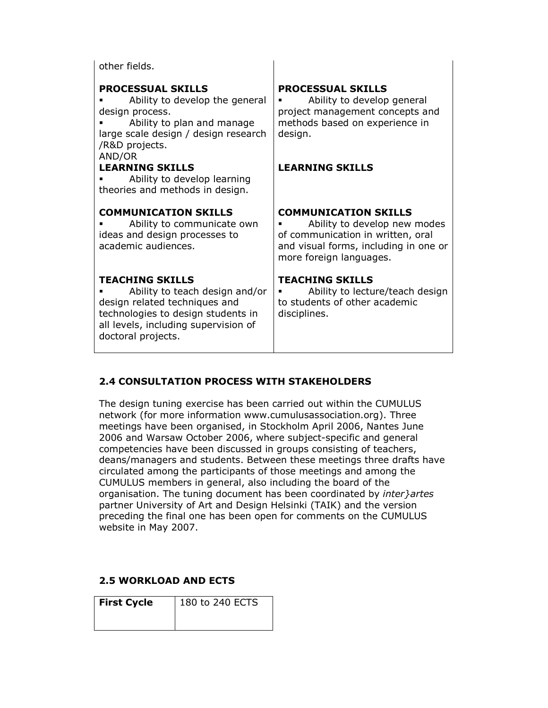other fields.

# PROCESSUAL SKILLS

**Ability to develop the general** design process.

 Ability to plan and manage large scale design / design research /R&D projects. AND/OR

#### LEARNING SKILLS

 Ability to develop learning theories and methods in design.

#### COMMUNICATION SKILLS

 Ability to communicate own ideas and design processes to academic audiences.

#### TEACHING SKILLS

 Ability to teach design and/or design related techniques and technologies to design students in all levels, including supervision of doctoral projects.

#### PROCESSUAL SKILLS

 Ability to develop general project management concepts and methods based on experience in design.

# LEARNING SKILLS

#### COMMUNICATION SKILLS

 Ability to develop new modes of communication in written, oral and visual forms, including in one or more foreign languages.

#### TEACHING SKILLS

 Ability to lecture/teach design to students of other academic disciplines.

# 2.4 CONSULTATION PROCESS WITH STAKEHOLDERS

The design tuning exercise has been carried out within the CUMULUS network (for more information www.cumulusassociation.org). Three meetings have been organised, in Stockholm April 2006, Nantes June 2006 and Warsaw October 2006, where subject-specific and general competencies have been discussed in groups consisting of teachers, deans/managers and students. Between these meetings three drafts have circulated among the participants of those meetings and among the CUMULUS members in general, also including the board of the organisation. The tuning document has been coordinated by *inter } artes* partner University of Art and Design Helsinki (TAIK) and the version preceding the final one has been open for comments on the CUMULUS website in May 2007.

# 2.5 WORKLOAD AND ECTS

| <b>First Cycle</b> | 180 to 240 ECTS |
|--------------------|-----------------|
|                    |                 |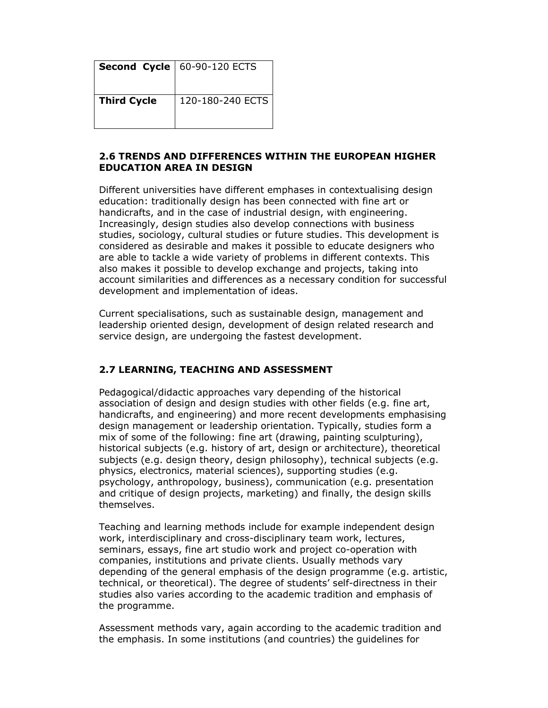|                    | <b>Second Cycle   60-90-120 ECTS</b> |
|--------------------|--------------------------------------|
| <b>Third Cycle</b> | 120-180-240 ECTS                     |

#### 2.6 TRENDS AND DIFFERENCES WITHIN THE EUROPEAN HIGHER EDUCATION AREA IN DESIGN

Different universities have different emphases in contextualising design education: traditionally design has been connected with fine art or handicrafts, and in the case of industrial design, with engineering. Increasingly, design studies also develop connections with business studies, sociology, cultural studies or future studies. This development is considered as desirable and makes it possible to educate designers who are able to tackle a wide variety of problems in different contexts. This also makes it possible to develop exchange and projects, taking into account similarities and differences as a necessary condition for successful development and implementation of ideas.

Current specialisations, such as sustainable design, management and leadership oriented design, development of design related research and service design, are undergoing the fastest development.

# 2.7 LEARNING, TEACHING AND ASSESSMENT

Pedagogical/didactic approaches vary depending of the historical association of design and design studies with other fields (e.g. fine art, handicrafts, and engineering) and more recent developments emphasising design management or leadership orientation. Typically, studies form a mix of some of the following: fine art (drawing, painting sculpturing), historical subjects (e.g. history of art, design or architecture), theoretical subjects (e.g. design theory, design philosophy), technical subjects (e.g. physics, electronics, material sciences), supporting studies (e.g. psychology, anthropology, business), communication (e.g. presentation and critique of design projects, marketing) and finally, the design skills themselves.

Teaching and learning methods include for example independent design work, interdisciplinary and cross-disciplinary team work, lectures, seminars, essays, fine art studio work and project co-operation with companies, institutions and private clients. Usually methods vary depending of the general emphasis of the design programme (e.g. artistic, technical, or theoretical). The degree of students' self-directness in their studies also varies according to the academic tradition and emphasis of the programme.

Assessment methods vary, again according to the academic tradition and the emphasis. In some institutions (and countries) the guidelines for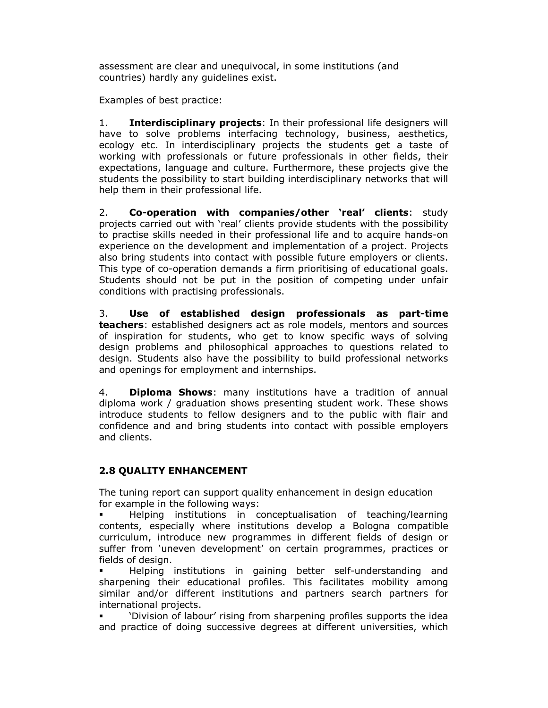assessment are clear and unequivocal, in some institutions (and countries) hardly any guidelines exist.

Examples of best practice:

1. **Interdisciplinary projects**: In their professional life designers will have to solve problems interfacing technology, business, aesthetics, ecology etc. In interdisciplinary projects the students get a taste of working with professionals or future professionals in other fields, their expectations, language and culture. Furthermore, these projects give the students the possibility to start building interdisciplinary networks that will help them in their professional life.

2. Co-operation with companies/other 'real' clients: study projects carried out with 'real' clients provide students with the possibility to practise skills needed in their professional life and to acquire hands-on experience on the development and implementation of a project. Projects also bring students into contact with possible future employers or clients. This type of co-operation demands a firm prioritising of educational goals. Students should not be put in the position of competing under unfair conditions with practising professionals.

3. Use of established design professionals as part-time teachers: established designers act as role models, mentors and sources of inspiration for students, who get to know specific ways of solving design problems and philosophical approaches to questions related to design. Students also have the possibility to build professional networks and openings for employment and internships.

4. **Diploma Shows:** many institutions have a tradition of annual diploma work / graduation shows presenting student work. These shows introduce students to fellow designers and to the public with flair and confidence and and bring students into contact with possible employers and clients.

# 2.8 QUALITY ENHANCEMENT

The tuning report can support quality enhancement in design education for example in the following ways:

 Helping institutions in conceptualisation of teaching/learning contents, especially where institutions develop a Bologna compatible curriculum, introduce new programmes in different fields of design or suffer from 'uneven development' on certain programmes, practices or fields of design.

 Helping institutions in gaining better self-understanding and sharpening their educational profiles. This facilitates mobility among similar and/or different institutions and partners search partners for international projects.

 'Division of labour' rising from sharpening profiles supports the idea and practice of doing successive degrees at different universities, which